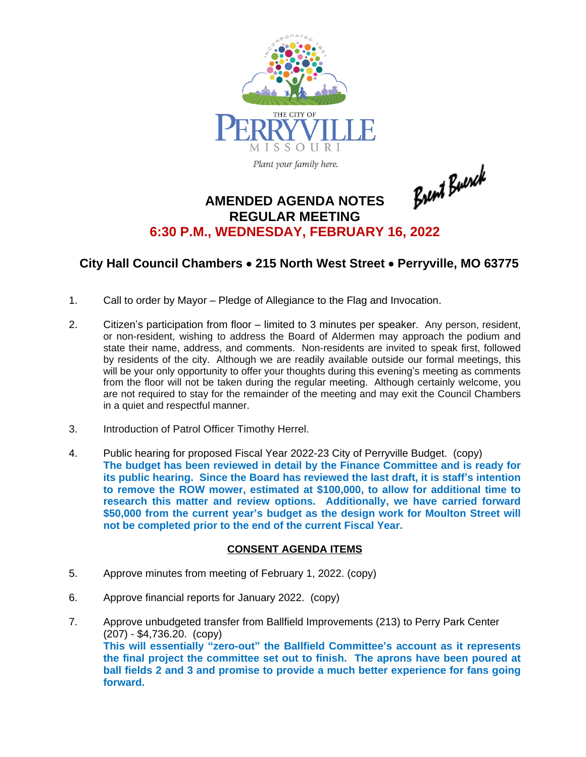

Plant your family here.

Brent Buerck

## **AMENDED AGENDA NOTES REGULAR MEETING 6:30 P.M., WEDNESDAY, FEBRUARY 16, 2022**

## **City Hall Council Chambers** · **215 North West Street** · **Perryville, MO 63775**

- 1. Call to order by Mayor Pledge of Allegiance to the Flag and Invocation.
- 2. Citizen's participation from floor limited to 3 minutes per speaker. Any person, resident, or non-resident, wishing to address the Board of Aldermen may approach the podium and state their name, address, and comments. Non-residents are invited to speak first, followed by residents of the city. Although we are readily available outside our formal meetings, this will be your only opportunity to offer your thoughts during this evening's meeting as comments from the floor will not be taken during the regular meeting. Although certainly welcome, you are not required to stay for the remainder of the meeting and may exit the Council Chambers in a quiet and respectful manner.
- 3. Introduction of Patrol Officer Timothy Herrel.
- 4. Public hearing for proposed Fiscal Year 2022-23 City of Perryville Budget. (copy) **The budget has been reviewed in detail by the Finance Committee and is ready for its public hearing. Since the Board has reviewed the last draft, it is staff's intention to remove the ROW mower, estimated at \$100,000, to allow for additional time to research this matter and review options. Additionally, we have carried forward \$50,000 from the current year's budget as the design work for Moulton Street will not be completed prior to the end of the current Fiscal Year.**

## **CONSENT AGENDA ITEMS**

- 5. Approve minutes from meeting of February 1, 2022. (copy)
- 6. Approve financial reports for January 2022. (copy)
- 7. Approve unbudgeted transfer from Ballfield Improvements (213) to Perry Park Center (207) - \$4,736.20. (copy) **This will essentially "zero-out" the Ballfield Committee's account as it represents the final project the committee set out to finish. The aprons have been poured at ball fields 2 and 3 and promise to provide a much better experience for fans going forward.**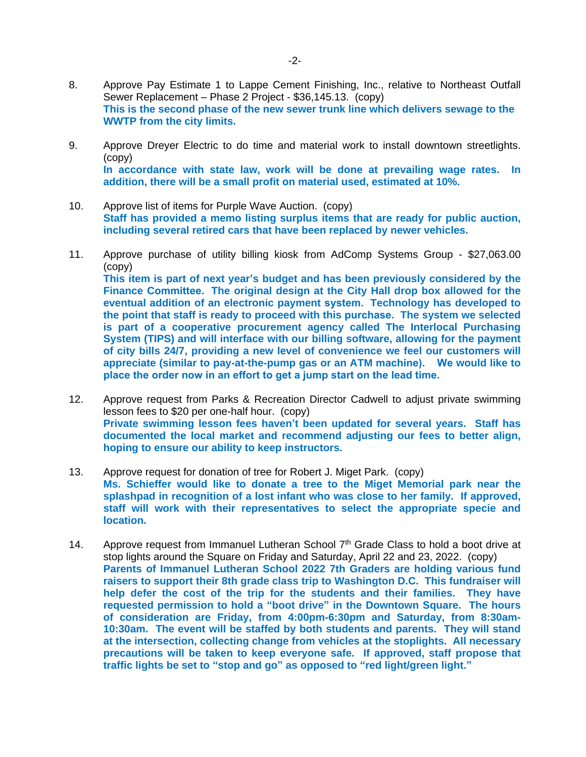- 8. Approve Pay Estimate 1 to Lappe Cement Finishing, Inc., relative to Northeast Outfall Sewer Replacement – Phase 2 Project - \$36,145.13. (copy) **This is the second phase of the new sewer trunk line which delivers sewage to the WWTP from the city limits.**
- 9. Approve Dreyer Electric to do time and material work to install downtown streetlights. (copy) **In accordance with state law, work will be done at prevailing wage rates. In addition, there will be a small profit on material used, estimated at 10%.**
- 10. Approve list of items for Purple Wave Auction. (copy) **Staff has provided a memo listing surplus items that are ready for public auction, including several retired cars that have been replaced by newer vehicles.**
- 11. Approve purchase of utility billing kiosk from AdComp Systems Group \$27,063.00 (copy) **This item is part of next year's budget and has been previously considered by the Finance Committee. The original design at the City Hall drop box allowed for the eventual addition of an electronic payment system. Technology has developed to the point that staff is ready to proceed with this purchase. The system we selected is part of a cooperative procurement agency called The Interlocal Purchasing System (TIPS) and will interface with our billing software, allowing for the payment of city bills 24/7, providing a new level of convenience we feel our customers will appreciate (similar to pay-at-the-pump gas or an ATM machine). We would like to place the order now in an effort to get a jump start on the lead time.**
- 12. Approve request from Parks & Recreation Director Cadwell to adjust private swimming lesson fees to \$20 per one-half hour. (copy) **Private swimming lesson fees haven't been updated for several years. Staff has documented the local market and recommend adjusting our fees to better align, hoping to ensure our ability to keep instructors.**
- 13. Approve request for donation of tree for Robert J. Miget Park. (copy) **Ms. Schieffer would like to donate a tree to the Miget Memorial park near the splashpad in recognition of a lost infant who was close to her family. If approved, staff will work with their representatives to select the appropriate specie and location.**
- 14. Approve request from Immanuel Lutheran School 7<sup>th</sup> Grade Class to hold a boot drive at stop lights around the Square on Friday and Saturday, April 22 and 23, 2022. (copy) **Parents of Immanuel Lutheran School 2022 7th Graders are holding various fund raisers to support their 8th grade class trip to Washington D.C. This fundraiser will help defer the cost of the trip for the students and their families. They have requested permission to hold a "boot drive" in the Downtown Square. The hours of consideration are Friday, from 4:00pm-6:30pm and Saturday, from 8:30am-10:30am. The event will be staffed by both students and parents. They will stand at the intersection, collecting change from vehicles at the stoplights. All necessary precautions will be taken to keep everyone safe. If approved, staff propose that traffic lights be set to "stop and go" as opposed to "red light/green light."**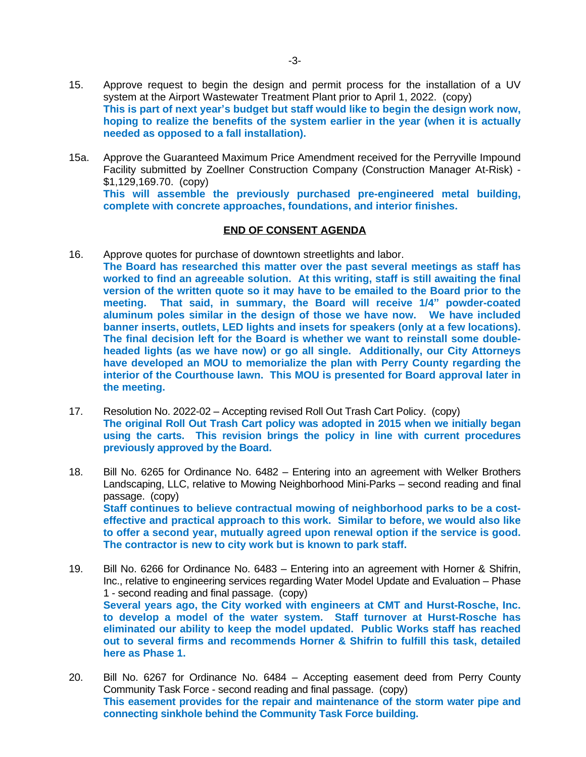- 15. Approve request to begin the design and permit process for the installation of a UV system at the Airport Wastewater Treatment Plant prior to April 1, 2022. (copy) **This is part of next year's budget but staff would like to begin the design work now, hoping to realize the benefits of the system earlier in the year (when it is actually needed as opposed to a fall installation).**
- 15a. Approve the Guaranteed Maximum Price Amendment received for the Perryville Impound Facility submitted by Zoellner Construction Company (Construction Manager At-Risk) - \$1,129,169.70. (copy) **This will assemble the previously purchased pre-engineered metal building, complete with concrete approaches, foundations, and interior finishes.**

## **END OF CONSENT AGENDA**

- 16. Approve quotes for purchase of downtown streetlights and labor. **The Board has researched this matter over the past several meetings as staff has worked to find an agreeable solution. At this writing, staff is still awaiting the final version of the written quote so it may have to be emailed to the Board prior to the meeting. That said, in summary, the Board will receive 1/4" powder-coated aluminum poles similar in the design of those we have now. We have included banner inserts, outlets, LED lights and insets for speakers (only at a few locations). The final decision left for the Board is whether we want to reinstall some doubleheaded lights (as we have now) or go all single. Additionally, our City Attorneys have developed an MOU to memorialize the plan with Perry County regarding the interior of the Courthouse lawn. This MOU is presented for Board approval later in the meeting.**
- 17. Resolution No. 2022-02 Accepting revised Roll Out Trash Cart Policy. (copy) **The original Roll Out Trash Cart policy was adopted in 2015 when we initially began using the carts. This revision brings the policy in line with current procedures previously approved by the Board.**
- 18. Bill No. 6265 for Ordinance No. 6482 Entering into an agreement with Welker Brothers Landscaping, LLC, relative to Mowing Neighborhood Mini-Parks – second reading and final passage. (copy) **Staff continues to believe contractual mowing of neighborhood parks to be a costeffective and practical approach to this work. Similar to before, we would also like to offer a second year, mutually agreed upon renewal option if the service is good. The contractor is new to city work but is known to park staff.**
- 19. Bill No. 6266 for Ordinance No. 6483 Entering into an agreement with Horner & Shifrin, Inc., relative to engineering services regarding Water Model Update and Evaluation – Phase 1 - second reading and final passage. (copy) **Several years ago, the City worked with engineers at CMT and Hurst-Rosche, Inc. to develop a model of the water system. Staff turnover at Hurst-Rosche has eliminated our ability to keep the model updated. Public Works staff has reached out to several firms and recommends Horner & Shifrin to fulfill this task, detailed here as Phase 1.**
- 20. Bill No. 6267 for Ordinance No. 6484 Accepting easement deed from Perry County Community Task Force - second reading and final passage. (copy) **This easement provides for the repair and maintenance of the storm water pipe and connecting sinkhole behind the Community Task Force building.**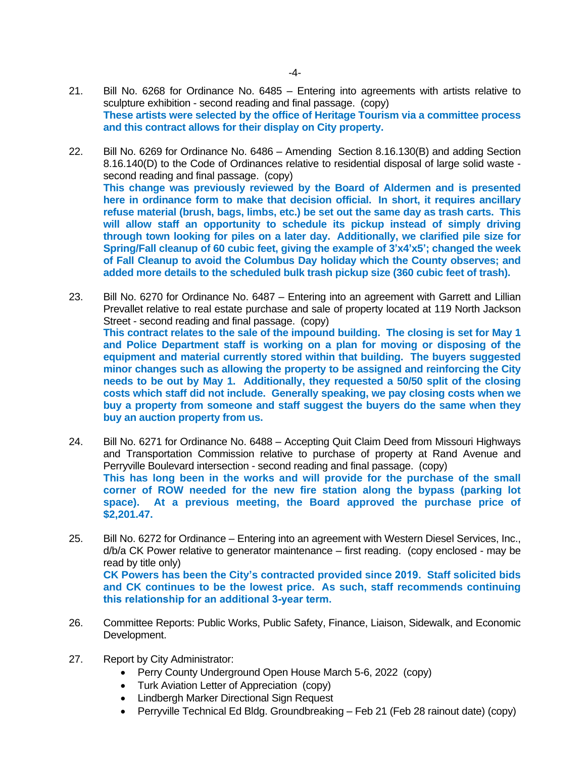- 21. Bill No. 6268 for Ordinance No. 6485 Entering into agreements with artists relative to sculpture exhibition - second reading and final passage. (copy) **These artists were selected by the office of Heritage Tourism via a committee process and this contract allows for their display on City property.**
- 22. Bill No. 6269 for Ordinance No. 6486 Amending Section 8.16.130(B) and adding Section 8.16.140(D) to the Code of Ordinances relative to residential disposal of large solid waste second reading and final passage. (copy) **This change was previously reviewed by the Board of Aldermen and is presented here in ordinance form to make that decision official. In short, it requires ancillary refuse material (brush, bags, limbs, etc.) be set out the same day as trash carts. This will allow staff an opportunity to schedule its pickup instead of simply driving through town looking for piles on a later day. Additionally, we clarified pile size for** Spring/Fall cleanup of 60 cubic feet, giving the example of 3'x4'x5'; changed the week **of Fall Cleanup to avoid the Columbus Day holiday which the County observes; and added more details to the scheduled bulk trash pickup size (360 cubic feet of trash).**
- 23. Bill No. 6270 for Ordinance No. 6487 Entering into an agreement with Garrett and Lillian Prevallet relative to real estate purchase and sale of property located at 119 North Jackson Street - second reading and final passage. (copy) **This contract relates to the sale of the impound building. The closing is set for May 1 and Police Department staff is working on a plan for moving or disposing of the equipment and material currently stored within that building. The buyers suggested minor changes such as allowing the property to be assigned and reinforcing the City needs to be out by May 1. Additionally, they requested a 50/50 split of the closing costs which staff did not include. Generally speaking, we pay closing costs when we buy a property from someone and staff suggest the buyers do the same when they buy an auction property from us.**
- 24. Bill No. 6271 for Ordinance No. 6488 Accepting Quit Claim Deed from Missouri Highways and Transportation Commission relative to purchase of property at Rand Avenue and Perryville Boulevard intersection - second reading and final passage. (copy) **This has long been in the works and will provide for the purchase of the small corner of ROW needed for the new fire station along the bypass (parking lot space). At a previous meeting, the Board approved the purchase price of \$2,201.47.**
- 25. Bill No. 6272 for Ordinance Entering into an agreement with Western Diesel Services, Inc., d/b/a CK Power relative to generator maintenance – first reading. (copy enclosed - may be read by title only) **CK Powers has been the City's contracted provided since 2019. Staff solicited bids and CK continues to be the lowest price. As such, staff recommends continuing this relationship for an additional 3-year term.**
- 26. Committee Reports: Public Works, Public Safety, Finance, Liaison, Sidewalk, and Economic Development.
- 27. Report by City Administrator:
	- Perry County Underground Open House March 5-6, 2022 (copy)
	- Turk Aviation Letter of Appreciation (copy)
	- Lindbergh Marker Directional Sign Request
	- Perryville Technical Ed Bldg. Groundbreaking Feb 21 (Feb 28 rainout date) (copy)